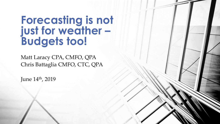# **Forecasting is not just for weather – Budgets too!**

Matt Laracy CPA, CMFO, QPA Chris Battaglia CMFO, CTC, QPA

June 14th, 2019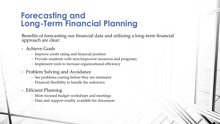### **Forecasting and Long-Term Financial Planning**

Benefits of forecasting our financial data and utilizing a long-term financial approach are clear:

- Achieve Goals
	- Improve credit rating and financial position
	- Provide residents with new/improved resources and programs
	- Implement tools to increase organizational efficiency
- Problem Solving and Avoidance
	- See problems coming before they are imminent
	- Financial flexibility to handle the unknown
- Efficient Planning
	- More focused budget workshops and meetings
	- Data and support readily available for discussion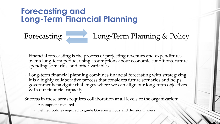### **Forecasting and Long-Term Financial Planning**

# Forecasting Long-Term Planning & Policy

- Financial forecasting is the process of projecting revenues and expenditures over a long-term period, using assumptions about economic conditions, future spending scenarios, and other variables.
- Long-term financial planning combines financial forecasting with strategizing. It is a highly collaborative process that considers future scenarios and helps governments navigate challenges where we can align our long-term objectives with our financial capacity.

Success in these areas requires collaboration at all levels of the organization:

- Assumptions required
- Defined policies required to guide Governing Body and decision makers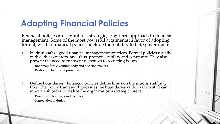## **Adopting Financial Policies**

Financial policies are central to a strategic, long-term approach to financial management. Some of the most powerful arguments in favor of adopting formal, written financial policies include their ability to help governments:

- 1. Institutionalize good financial management practices. Formal policies usually outlive their creators, and, thus, promote stability and continuity. They also prevent the need to re-invent responses to recurring issues.
	- Roadmap for Governing Body and decision makers
	- Restriction to outside pressures
- 2. Define boundaries. Financial policies define limits on the actions staff may take. The policy framework provides the boundaries within which staff can innovate in order to realize the organization's strategic intent.
	- Promotes safeguards and controls
	- Segregation of duties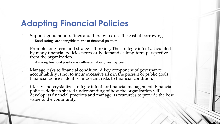# **Adopting Financial Policies**

- 3. Support good bond ratings and thereby reduce the cost of borrowing • Bond ratings are a tangible metric of financial position
- 4. Promote long-term and strategic thinking. The strategic intent articulated by many financial policies necessarily demands a long-term perspective from the organization.
	- A strong financial position is cultivated slowly year by year
- 5. Manage risks to financial condition. A key component of governance accountability is not to incur excessive risk in the pursuit of public goals. Financial policies identify important risks to financial condition.
- 6. Clarify and crystallize strategic intent for financial management. Financial policies define a shared understanding of how the organization will develop its financial practices and manage its resources to provide the best value to the community.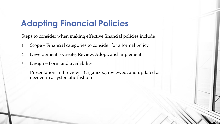### **Adopting Financial Policies**

Steps to consider when making effective financial policies include

- 1. Scope Financial categories to consider for a formal policy
- 2. Development Create, Review, Adopt, and Implement
- 3. Design Form and availability
- 4. Presentation and review Organized, reviewed, and updated as needed in a systematic fashion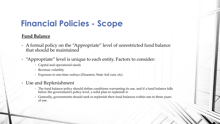#### **Fund Balance**

- A formal policy on the "Appropriate" level of unrestricted fund balance that should be maintained
- "Appropriate" level is unique to each entity. Factors to consider:
	- Capital and operational needs
	- Revenue volatility
	- Exposure to one-time outlays (Disasters, State Aid cuts, etc)
- Use and Replenishment
	- The fund balance policy should define conditions warranting its use, and if a fund balance falls below the government's policy level, a solid plan to replenish it.
	- Generally, governments should seek to replenish their fund balances within one to three years of use.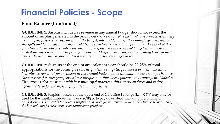#### **Fund Balance (Continued)**

**GUIDELINE 1:** Surplus included as revenue in any annual budget should not exceed the amount of surplus generated in the prior calendar year. *Surplus included as revenue is essentially a contingency reserve or cushion within the budget, intended to protect the Borough against revenue shortfalls and to provide funds should additional spending be needed for operations. The intent of this guideline is to smooth or stabilize the amount of surplus used in the annual budget while allowing modest increases over time. The prior year constraint helps prevent surplus from falling below desired levels. The use of such a constraint is a practice rating agencies prefer to see*

**GUIDELINE 2**: Surplus at the end of any calendar year should be 20-25% of total appropriations for the coming year. *The guideline range (a) provides a prudent amount of "surplus as revenue" for inclusion in the annual budget while (b) maintaining an ample balance sheet reserve for emergency situations; unique, one-time developments; and contingent liabilities. The range is also consistent with best municipal practices, third-party analyses and rating agency criteria for the most highly rated municipalities.*

**GUIDELINE 3**: Surplus in excess of the upper end of Guideline 1B range (i.e., >25%) may only be used for the Capital Improvement Fund (CIF) or to pay down debt (including prefunding of obligations). *The intent is for "excess surplus" to be used for improving the long-term financial condition of the Borough, not for near term or operating appropriations.*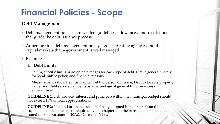#### **Debt Management**

- Debt management policies are written guidelines, allowances, and restrictions that guide the debt issuance process
- Adherence to a debt management policy signals to rating agencies and the capital markets that a government is well managed
- Examples:

#### **1. Debt Limits**

- Setting specific limits or acceptable ranges for each type of debt. Limits generally are set for legal, public policy, and financial reasons.
- Measurement ratios: Debt per capita, Debt to personal income, Debt to taxable property value, and Debt service payments as a percentage of general fund revenues or expenditures

**GUIDELINE 1:** Debt service (interest and principal) within the municipal budget should not exceed 10% of total appropriations.

**GUIDELINE 2:** No bond ordinance shall be finally adopted if it appears from the supplemental debt statement required by this chapter that the percentage of net debt as stated therein pursuant to 40A:2-42 exceeds 3 ½%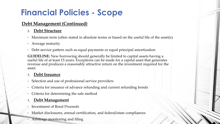#### **Debt Management (Continued)**

#### **2. Debt Structure**

- Maximum term (often stated in absolute terms or based on the useful life of the asset(s)
- Average maturity
- Debt service pattern such as equal payments or equal principal amortization

**GUIDELINE:** New borrowing should generally be limited to capital assets having a useful life of at least 15 years. Exceptions can be made for a capital asset that generates revenue and produces a reasonably attractive return on the investment required for the asset.

#### **3. Debt Issuance**

- Selection and use of professional service providers
- Criteria for issuance of advance refunding and current refunding bonds
- Criteria for determining the sale method

#### **3. Debt Management**

- Investment of Bond Proceeds
- Market disclosures, annual certification, and federal/state compliances
- Arbitrage monitoring and filing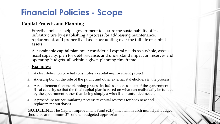#### **Capital Projects and Planning**

- Effective policies help a government to assure the sustainability of its infrastructure by establishing a process for addressing maintenance, replacement, and proper fixed asset accounting over the full life of capital assets
- A sustainable capital plan must consider all capital needs as a whole, assess fiscal capacity, plan for debt issuance, and understand impact on reserves and operating budgets, all within a given planning timeframe.

#### • **Examples:**

- 1. A clear definition of what constitutes a capital improvement project
- 2. A description of the role of the public and other external stakeholders in the process
- 3. A requirement that the planning process includes an assessment of the government' fiscal capacity so that the final capital plan is based on what can realistically be funded by the government rather than being simply a wish list of unfunded needs.
- 4. A procedure for accumulating necessary capital reserves for both new and replacement purchases

**GUIDELINE:** The Capital Improvement Fund (CIF) line item in each municipal budget should be at minimum 2% of total budgeted appropriations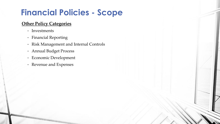#### **Other Policy Categories**

- Investments
- Financial Reporting
- Risk Management and Internal Controls
- Annual Budget Process
- Economic Development
- Revenue and Expenses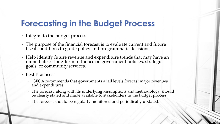## **Forecasting in the Budget Process**

- Integral to the budget process
- The purpose of the financial forecast is to evaluate current and future fiscal conditions to guide policy and programmatic decisions
- Help identify future revenue and expenditure trends that may have an immediate or long-term influence on government policies, strategic goals, or community services.
- Best Practices:
	- GFOA recommends that governments at all levels forecast major revenues and expenditures
	- The forecast, along with its underlying assumptions and methodology, should be clearly stated and made available to stakeholders in the budget process
	- The forecast should be regularly monitored and periodically updated.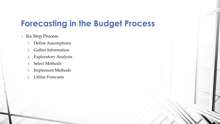### **Forecasting in the Budget Process**

- Six Step Process
	- 1. Define Assumptions
	- 2. Gather Information
	- 3. Exploratory Analysis
	- 4. Select Methods
	- 5. Implement Methods
	- 6. Utilize Forecasts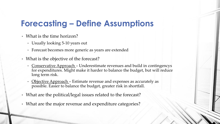### **Forecasting – Define Assumptions**

- What is the time horizon?
	- Usually looking 5-10 years out
	- Forecast becomes more generic as years are extended
- What is the objective of the forecast?
	- Conservative Approach Underestimate revenues and build in contingencys for expenditures. Might make it harder to balance the budget, but will reduce long term risk.
	- Objective Approach Estimate revenue and expenses as accurately as possible. Easier to balance the budget, greater risk in shortfall.
- What are the political/legal issues related to the forecast?
- What are the major revenue and expenditure categories?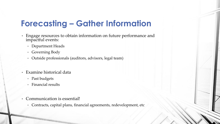## **Forecasting – Gather Information**

- Engage resources to obtain information on future performance and impactful events:
	- Department Heads
	- Governing Body
	- Outside professionals (auditors, advisors, legal team)
- Examine historical data
	- Past budgets
	- Financial results
- Communication is essential!
	- Contracts, capital plans, financial agreements, redevelopment, etc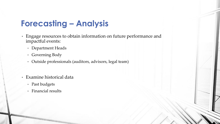### **Forecasting – Analysis**

- Engage resources to obtain information on future performance and impactful events:
	- Department Heads
	- Governing Body
	- Outside professionals (auditors, advisors, legal team)
- Examine historical data
	- Past budgets
	- Financial results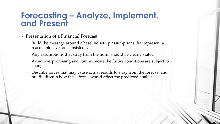### **Forecasting – Analyze, Implement, and Present**

- Presentation of a Financial Forecast
	- Build the message around a baseline set up assumptions that represent a reasonable level on consistency
	- Any assumptions that stray from the norm should be clearly stated
	- Avoid overpromising and communicate the future conditions are subject to change
	- Describe forces that may cause actual results to stray from the forecast and briefly discuss how these forces would affect the predicted analysis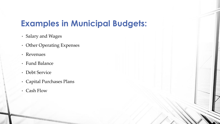### **Examples in Municipal Budgets:**

- Salary and Wages
- Other Operating Expenses
- Revenues
- Fund Balance
- Debt Service
- Capital Purchases Plans
- Cash Flow